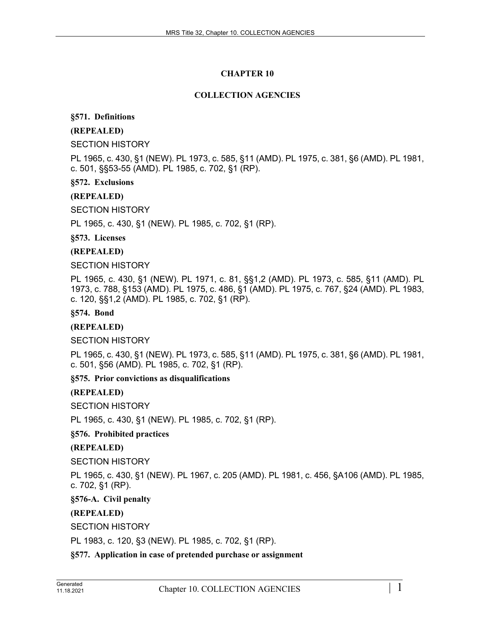# **CHAPTER 10**

# **COLLECTION AGENCIES**

# **§571. Definitions**

# **(REPEALED)**

SECTION HISTORY

PL 1965, c. 430, §1 (NEW). PL 1973, c. 585, §11 (AMD). PL 1975, c. 381, §6 (AMD). PL 1981, c. 501, §§53-55 (AMD). PL 1985, c. 702, §1 (RP).

**§572. Exclusions**

# **(REPEALED)**

SECTION HISTORY

PL 1965, c. 430, §1 (NEW). PL 1985, c. 702, §1 (RP).

**§573. Licenses**

**(REPEALED)**

SECTION HISTORY

PL 1965, c. 430, §1 (NEW). PL 1971, c. 81, §§1,2 (AMD). PL 1973, c. 585, §11 (AMD). PL 1973, c. 788, §153 (AMD). PL 1975, c. 486, §1 (AMD). PL 1975, c. 767, §24 (AMD). PL 1983, c. 120, §§1,2 (AMD). PL 1985, c. 702, §1 (RP).

**§574. Bond**

### **(REPEALED)**

SECTION HISTORY

PL 1965, c. 430, §1 (NEW). PL 1973, c. 585, §11 (AMD). PL 1975, c. 381, §6 (AMD). PL 1981, c. 501, §56 (AMD). PL 1985, c. 702, §1 (RP).

**§575. Prior convictions as disqualifications**

# **(REPEALED)**

SECTION HISTORY

PL 1965, c. 430, §1 (NEW). PL 1985, c. 702, §1 (RP).

**§576. Prohibited practices**

# **(REPEALED)**

SECTION HISTORY

PL 1965, c. 430, §1 (NEW). PL 1967, c. 205 (AMD). PL 1981, c. 456, §A106 (AMD). PL 1985, c. 702, §1 (RP).

**§576-A. Civil penalty**

**(REPEALED)**

SECTION HISTORY

PL 1983, c. 120, §3 (NEW). PL 1985, c. 702, §1 (RP).

**§577. Application in case of pretended purchase or assignment**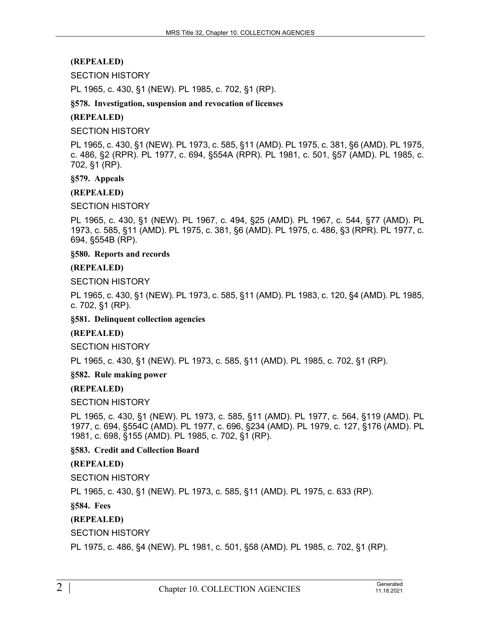# **(REPEALED)**

### SECTION HISTORY

PL 1965, c. 430, §1 (NEW). PL 1985, c. 702, §1 (RP).

### **§578. Investigation, suspension and revocation of licenses**

### **(REPEALED)**

### SECTION HISTORY

PL 1965, c. 430, §1 (NEW). PL 1973, c. 585, §11 (AMD). PL 1975, c. 381, §6 (AMD). PL 1975, c. 486, §2 (RPR). PL 1977, c. 694, §554A (RPR). PL 1981, c. 501, §57 (AMD). PL 1985, c. 702, §1 (RP).

### **§579. Appeals**

### **(REPEALED)**

SECTION HISTORY

PL 1965, c. 430, §1 (NEW). PL 1967, c. 494, §25 (AMD). PL 1967, c. 544, §77 (AMD). PL 1973, c. 585, §11 (AMD). PL 1975, c. 381, §6 (AMD). PL 1975, c. 486, §3 (RPR). PL 1977, c. 694, §554B (RP).

### **§580. Reports and records**

### **(REPEALED)**

SECTION HISTORY

PL 1965, c. 430, §1 (NEW). PL 1973, c. 585, §11 (AMD). PL 1983, c. 120, §4 (AMD). PL 1985, c. 702, §1 (RP).

### **§581. Delinquent collection agencies**

### **(REPEALED)**

SECTION HISTORY

PL 1965, c. 430, §1 (NEW). PL 1973, c. 585, §11 (AMD). PL 1985, c. 702, §1 (RP).

### **§582. Rule making power**

### **(REPEALED)**

SECTION HISTORY

PL 1965, c. 430, §1 (NEW). PL 1973, c. 585, §11 (AMD). PL 1977, c. 564, §119 (AMD). PL 1977, c. 694, §554C (AMD). PL 1977, c. 696, §234 (AMD). PL 1979, c. 127, §176 (AMD). PL 1981, c. 698, §155 (AMD). PL 1985, c. 702, §1 (RP).

### **§583. Credit and Collection Board**

# **(REPEALED)**

SECTION HISTORY

PL 1965, c. 430, §1 (NEW). PL 1973, c. 585, §11 (AMD). PL 1975, c. 633 (RP).

**§584. Fees**

# **(REPEALED)**

# SECTION HISTORY

PL 1975, c. 486, §4 (NEW). PL 1981, c. 501, §58 (AMD). PL 1985, c. 702, §1 (RP).